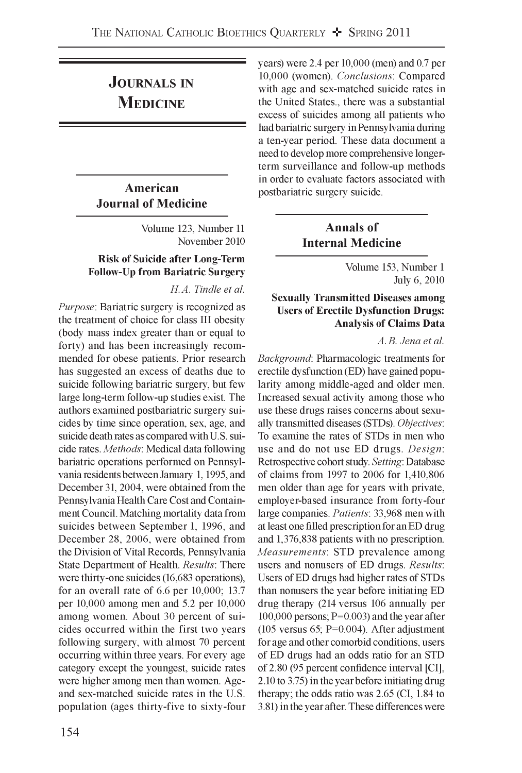# **Journals in Medicine**

# **American Journal of Medicine**

Volume 123, Number 11 November 2010

### **Risk of Suicide after Long-Term Follow-Up from Bariatric Surgery**

#### *H.A. Tindle et al.*

*Purpose*: Bariatric surgery is recognized as the treatment of choice for class III obesity (body mass index greater than or equal to forty) and has been increasingly recommended for obese patients. Prior research has suggested an excess of deaths due to suicide following bariatric surgery, but few large long-term follow-up studies exist. The authors examined postbariatric surgery suicides by time since operation, sex, age, and suicide death rates as compared with U.S. suicide rates. *Methods:* Medical data following bariatric operations performed on Pennsylvania residents between January 1, 1995, and December 31, 2004, were obtained from the Pennsylvania Health Care Cost and Containment Council. Matching mortality data from suicides between September 1, 1996, and December 28, 2006, were obtained from the Division of Vital Records, Pennsylvania State Department of Health. *Results:* There were thirty-one suicides (16,683 operations), for an overall rate of 6.6 per 10,000; 13.7 per 10,000 among men and 5.2 per 10,000 among women. About 30 percent of suicides occurred within the first two years following surgery, with almost 70 percent occurring within three years. For every age category except the youngest, suicide rates were higher among men than women. Ageand sex-matched suicide rates in the U.S. population (ages thirty-five to sixty-four years) were 2.4 per 10,000 (men) and 0.7 per 10,000 (women). *Conclusions:* Compared with age and sex-matched suicide rates in the United States., there was a substantial excess of suicides among all patients who had bariatric surgery in Pennsylvania during a ten-year period. These data document a need to develop more comprehensive longerterm surveillance and follow-up methods in order to evaluate factors associated with postbariatric surgery suicide.

# **Annals of Internal Medicine**

Volume 153, Number 1 July 6, 2010

### **Sexually Transmitted Diseases among Users of Erectile Dysfunction Drugs: Analysis of Claims Data**

*A. B. Jena et al.*

*Background:* Pharmacologic treatments for erectile dysfunction (ED) have gained popularity among middle-aged and older men. Increased sexual activity among those who use these drugs raises concerns about sexually transmitted diseases (STDs). *Objectives:* To examine the rates of STDs in men who use and do not use ED drugs. *Design:* Retrospective cohort study. *Setting:* Database of claims from 1997 to 2006 for 1,410,806 men older than age for years with private, employer-based insurance from forty-four large companies. *Patients:* 33,968 men with at least one filled prescription for an ED drug and 1,376,838 patients with no prescription. *Measurements:* STD prevalence among users and nonusers of ED drugs. *Results*: Users of ED drugs had higher rates of STDs than nonusers the year before initiating ED drug therapy (214 versus 106 annually per 100,000 persons; P=0.003) and the year after (105 versus 65; P=0.004). After adjustment for age and other comorbid conditions, users of ED drugs had an odds ratio for an STD of 2.80 (95 percent confidence interval [CI], 2.10 to 3.75) in the year before initiating drug therapy; the odds ratio was 2.65 (CI, 1.84 to 3.81) in the year after. These differences were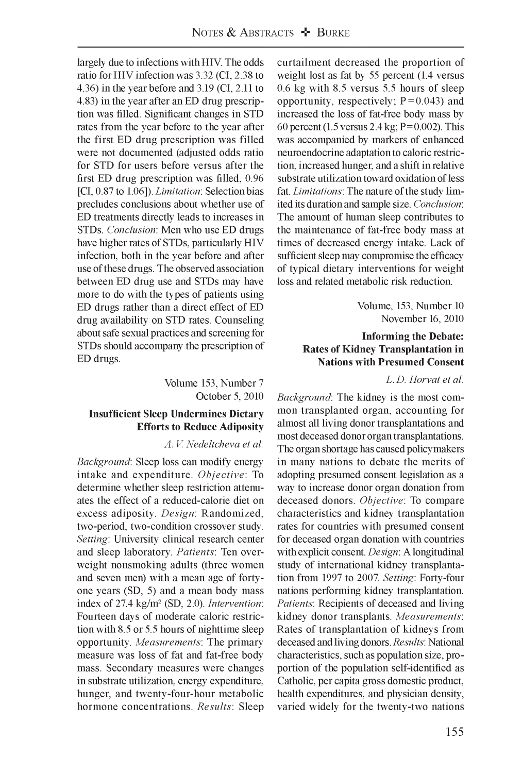largely due to infections with HIV. The odds ratio for HIV infection was 3.32 (CI, 2.38 to 4.36) in the year before and 3.19 (CI, 2.11 to 4.83) in the year after an ED drug prescription was filled. Significant changes in STD rates from the year before to the year after the first ED drug prescription was filled were not documented (adjusted odds ratio for STD for users before versus after the first ED drug prescription was filled, 0.96 [CI, 0.87 to 1.06]). *Limitation'.* Selection bias precludes conclusions about whether use of ED treatments directly leads to increases in STDs. *Conclusion'* Men who use ED drugs have higher rates of STDs, particularly HIV infection, both in the year before and after use of these drugs. The observed association between ED drug use and STDs may have more to do with the types of patients using ED drugs rather than a direct effect of ED drug availability on STD rates. Counseling about safe sexual practices and screening for STDs should accompany the prescription of ED drugs.

> Volume 153, Number 7 October 5, 2010

#### **Insufficient Sleep Undermines Dietary Efforts to Reduce Adiposity**

#### *A. V. Nedeltcheva et al.*

*Background:* Sleep loss can modify energy intake and expenditure. *Objective'.* To determine whether sleep restriction attenuates the effect of a reduced-calorie diet on excess adiposity. *Design*: Randomized, two-period, two-condition crossover study. *Setting:* University clinical research center and sleep laboratory. *Patients:* Ten overweight nonsmoking adults (three women and seven men) with a mean age of fortyone years (SD, 5) and a mean body mass index of 27.4 kg/m2 (SD, 2.0). *Intervention:* Fourteen days of moderate caloric restriction with 8.5 or 5.5 hours of nighttime sleep opportunity. *Measurements*: The primary measure was loss of fat and fat-free body mass. Secondary measures were changes in substrate utilization, energy expenditure, hunger, and twenty-four-hour metabolic hormone concentrations. *Results:* Sleep curtailment decreased the proportion of weight lost as fat by 55 percent (1.4 versus 0.6 kg with 8.5 versus 5.5 hours of sleep opportunity, respectively;  $P = 0.043$ ) and increased the loss of fat-free body mass by 60 percent (1.5 versus 2.4 kg;  $P = 0.002$ ). This was accompanied by markers of enhanced neuroendocrine adaptation to caloric restriction, increased hunger, and a shift in relative substrate utilization toward oxidation of less fat. *Limitations*: The nature of the study limited its duration and sample size. *Conclusion:* The amount of human sleep contributes to the maintenance of fat-free body mass at times of decreased energy intake. Lack of sufficient sleep may compromise the efficacy of typical dietary interventions for weight loss and related metabolic risk reduction.

> Volume, 153, Number 10 November 16, 2010

### **Informing the Debate: Rates of Kidney Transplantation in Nations with Presumed Consent**

#### *L. D. Horvat et al.*

*Background:* The kidney is the most common transplanted organ, accounting for almost all living donor transplantations and most deceased donor organ transplantations. The organ shortage has caused policymakers in many nations to debate the merits of adopting presumed consent legislation as a way to increase donor organ donation from deceased donors. *Objective*: To compare characteristics and kidney transplantation rates for countries with presumed consent for deceased organ donation with countries with explicit consent. *Design:* A longitudinal study of international kidney transplantation from 1997 to 2007. *Setting:* Forty -four nations performing kidney transplantation. *Patients*: Recipients of deceased and living kidney donor transplants. *Measurements*: Rates of transplantation of kidneys from deceased and living donors. *Results:* National characteristics, such as population size, proportion of the population self identified as Catholic, per capita gross domestic product, health expenditures, and physician density, varied widely for the twenty-two nations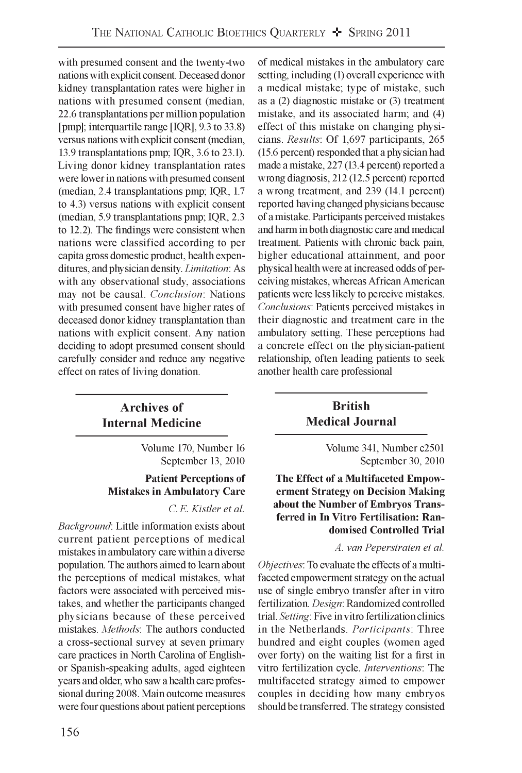with presumed consent and the twenty-two nations with explicit consent. Deceased donor kidney transplantation rates were higher in nations with presumed consent (median, 22.6 transplantations per million population [pmp]; interquartile range [IQR], 9.3 to 33.8) versus nations with explicit consent (median, 13.9 transplantations pmp; IQR, 3.6 to 23.1). Living donor kidney transplantation rates were lower in nations with presumed consent (median, 2.4 transplantations pmp; IQR, 1.7 to 4.3) versus nations with explicit consent (median, 5.9 transplantations pmp; IQR, 2.3 to 12.2). The findings were consistent when nations were classified according to per capita gross domestic product, health expenditures, and physician density. *Limitation'.* As with any observational study, associations may not be causal. *Conclusion*: Nations with presumed consent have higher rates of deceased donor kidney transplantation than nations with explicit consent. Any nation deciding to adopt presumed consent should carefully consider and reduce any negative effect on rates of living donation.

# **Archives of Internal Medicine**

Volume 170, Number 16 September 13, 2010

# **Patient Perceptions of Mistakes in Ambulatory Care**

*C. E. Kistler et al.*

*Background:* Little information exists about current patient perceptions of medical mistakes in ambulatory care within a diverse population. The authors aimed to learn about the perceptions of medical mistakes, what factors were associated with perceived mistakes, and whether the participants changed physicians because of these perceived mistakes. *Methods:* The authors conducted a cross-sectional survey at seven primary care practices in North Carolina of Englishor Spanish-speaking adults, aged eighteen years and older, who saw a health care professional during 2008. Main outcome measures were four questions about patient perceptions of medical mistakes in the ambulatory care setting, including (1) overall experience with a medical mistake; type of mistake, such as a (2) diagnostic mistake or (3) treatment mistake, and its associated harm; and (4) effect of this mistake on changing physicians. *Results:* Of 1,697 participants, 265 (15.6 percent) responded that a physician had made a mistake, 227 (13.4 percent) reported a wrong diagnosis, 212 (12.5 percent) reported a wrong treatment, and 239 (14.1 percent) reported having changed physicians because of a mistake. Participants perceived mistakes and harm in both diagnostic care and medical treatment. Patients with chronic back pain, higher educational attainment, and poor physical health were at increased odds of perceiving mistakes, whereas African American patients were less likely to perceive mistakes. *Conclusions:* Patients perceived mistakes in their diagnostic and treatment care in the ambulatory setting. These perceptions had a concrete effect on the physician-patient relationship, often leading patients to seek another health care professional

# **British Medical Journal**

Volume 341, Number c2501 September 30, 2010

**The Effect of a Multifaceted Empowerment Strategy on Decision Making about the Number of Embryos Transferred in In Vitro Fertilisation: Randomised Controlled Trial**

#### *A. van Peperstraten et al.*

*Objectives:* To evaluate the effects of a multifaceted empowerment strategy on the actual use of single embryo transfer after in vitro fertilization. *Design:* Randomized controlled trial. *Setting:* Five in vitro fertilization clinics in the Netherlands. *Participants*: Three hundred and eight couples (women aged over forty) on the waiting list for a first in vitro fertilization cycle. *Interventions:* The multifaceted strategy aimed to empower couples in deciding how many embryos should be transferred. The strategy consisted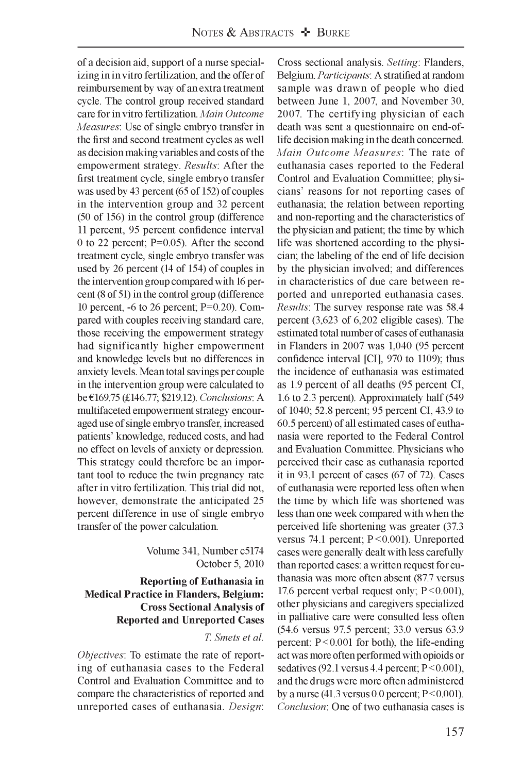of a decision aid, support of a nurse specializing in in vitro fertilization, and the offer of reimbursement by way of an extra treatment cycle. The control group received standard care for in vitro fertilization. *Main Outcome Measures*: Use of single embryo transfer in the first and second treatment cycles as well as decision making variables and costs of the empowerment strategy. *Results:* After the first treatment cycle, single embryo transfer was used by 43 percent (65 of 152) of couples in the intervention group and 32 percent (50 of 156) in the control group (difference 11 percent, 95 percent confidence interval 0 to 22 percent; P=0.05). After the second treatment cycle, single embryo transfer was used by 26 percent (14 of 154) of couples in the intervention group compared with 16 percent (8 of 51) in the control group (difference 10 percent, -6 to 26 percent; P=0.20). Compared with couples receiving standard care, those receiving the empowerment strategy had significantly higher empowerment and knowledge levels but no differences in anxiety levels. Mean total savings per couple in the intervention group were calculated to be €169.75 (£146.77; \$219.12). *Conclusions'.* A multifaceted empowerment strategy encouraged use of single embryo transfer, increased patients' knowledge, reduced costs, and had no effect on levels of anxiety or depression. This strategy could therefore be an important tool to reduce the twin pregnancy rate after in vitro fertilization. This trial did not, however, demonstrate the anticipated 25 percent difference in use of single embryo transfer of the power calculation.

> Volume 341, Number c5174 October 5, 2010

### **Reporting of Euthanasia in Medical Practice in Flanders, Belgium: Cross Sectional Analysis of Reported and Unreported Cases**

### *T. Smets et al.*

*Objectives:* To estimate the rate of reporting of euthanasia cases to the Federal Control and Evaluation Committee and to compare the characteristics of reported and unreported cases of euthanasia. *Design*: Cross sectional analysis. *Setting*: Flanders, Belgium. *Participants:* A stratified at random sample was drawn of people who died between June 1, 2007, and November 30, 2007. The certifying physician of each death was sent a questionnaire on end-oflife decision making in the death concerned. *Main Outcome Measures:* The rate of euthanasia cases reported to the Federal Control and Evaluation Committee; physicians' reasons for not reporting cases of euthanasia; the relation between reporting and non-reporting and the characteristics of the physician and patient; the time by which life was shortened according to the physician; the labeling of the end of life decision by the physician involved; and differences in characteristics of due care between reported and unreported euthanasia cases. *Results:* The survey response rate was 58.4 percent (3,623 of 6,202 eligible cases). The estimated total number of cases of euthanasia in Flanders in 2007 was 1,040 (95 percent confidence interval [CI], 970 to 1109); thus the incidence of euthanasia was estimated as 1.9 percent of all deaths (95 percent CI, 1.6 to 2.3 percent). Approximately half (549 of 1040; 52.8 percent; 95 percent CI, 43.9 to 60.5 percent) of all estimated cases of euthanasia were reported to the Federal Control and Evaluation Committee. Physicians who perceived their case as euthanasia reported it in 93.1 percent of cases (67 of 72). Cases of euthanasia were reported less often when the time by which life was shortened was less than one week compared with when the perceived life shortening was greater (37.3 versus 74.1 percent; P < 0.001). Unreported cases were generally dealt with less carefully than reported cases: a written request for euthanasia was more often absent (87.7 versus 17.6 percent verbal request only; P < 0.001), other physicians and caregivers specialized in palliative care were consulted less often (54.6 versus 97.5 percent; 33.0 versus 63.9 percent; P<0.001 for both), the life-ending act was more often performed with opioids or sedatives (92.1 versus 4.4 percent; P < 0.001), and the drugs were more often administered by a nurse  $(41.3 \text{ versus } 0.0 \text{ percent}; P \leq 0.001)$ . *Conclusion:* One of two euthanasia cases is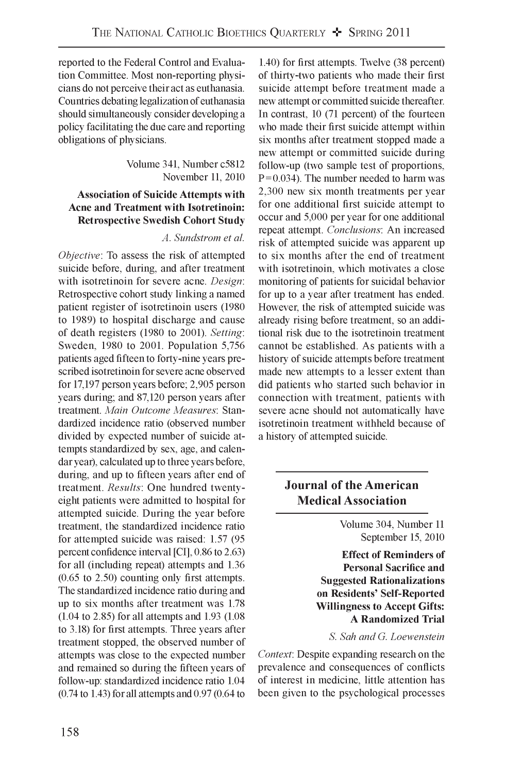reported to the Federal Control and Evaluation Committee. Most non-reporting physicians do not perceive their act as euthanasia. Countries debating legalization of euthanasia should simultaneously consider developing a policy facilitating the due care and reporting obligations of physicians.

> Volume 341, Number c5812 November 11, 2010

### **Association of Suicide Attempts with Acne and Treatment with Isotretinoin: Retrospective Swedish Cohort Study**

#### *A. Sundstrom et al.*

*Objective'.* To assess the risk of attempted suicide before, during, and after treatment with isotretinoin for severe acne. *Design*: Retrospective cohort study linking a named patient register of isotretinoin users (1980 to 1989) to hospital discharge and cause of death registers (1980 to 2001). *Setting:* Sweden, 1980 to 2001. Population 5,756 patients aged fifteen to forty -nine years prescribed isotretinoin for severe acne observed for 17,197 person years before; 2,905 person years during; and 87,120 person years after treatment. *Main Outcome Measures:* Standardized incidence ratio (observed number divided by expected number of suicide attempts standardized by sex, age, and calendar year), calculated up to three years before, during, and up to fifteen years after end of treatment. *Results:* One hundred twenty eight patients were admitted to hospital for attempted suicide. During the year before treatment, the standardized incidence ratio for attempted suicide was raised: 1.57 (95 percent confidence interval [CI], 0.86 to 2.63) for all (including repeat) attempts and 1.36 (0.65 to 2.50) counting only first attempts. The standardized incidence ratio during and up to six months after treatment was 1.78 (1.04 to 2.85) for all attempts and 1.93 (1.08 to 3.18) for first attempts. Three years after treatment stopped, the observed number of attempts was close to the expected number and remained so during the fifteen years of follow-up: standardized incidence ratio 1.04 (0.74 to 1.43) for all attempts and 0.97 (0.64 to

1.40) for first attempts. Twelve (38 percent) of thirty two patients who made their first suicide attempt before treatment made a new attempt or committed suicide thereafter. In contrast, 10 (71 percent) of the fourteen who made their first suicide attempt within six months after treatment stopped made a new attempt or committed suicide during follow-up (two sample test of proportions,  $P = 0.034$ ). The number needed to harm was 2,300 new six month treatments per year for one additional first suicide attempt to occur and 5,000 per year for one additional repeat attempt. *Conclusions:* An increased risk of attempted suicide was apparent up to six months after the end of treatment with isotretinoin, which motivates a close monitoring of patients for suicidal behavior for up to a year after treatment has ended. However, the risk of attempted suicide was already rising before treatment, so an additional risk due to the isotretinoin treatment cannot be established. As patients with a history of suicide attempts before treatment made new attempts to a lesser extent than did patients who started such behavior in connection with treatment, patients with severe acne should not automatically have isotretinoin treatment withheld because of a history of attempted suicide.

# **Journal of the American Medical Association**

Volume 304, Number 11 September 15, 2010

**Effect of Reminders of Personal Sacrifice and Suggested Rationalizations on Residents' Self-Reported Willingness to Accept Gifts: A Randomized Trial**

*S. Sah and G. Loewenstein*

*Context:* Despite expanding research on the prevalence and consequences of conflicts of interest in medicine, little attention has been given to the psychological processes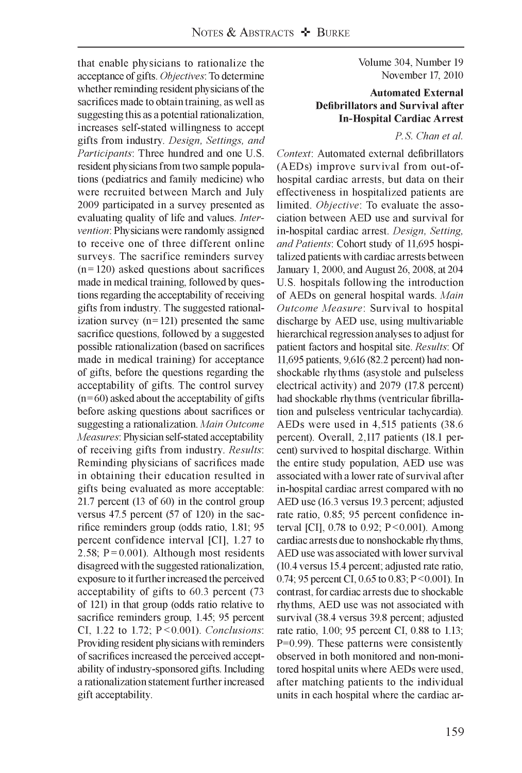Volume 304, Number 19 November 17, 2010

#### **Automated External Defibrillators and Survival after In-Hospital Cardiac Arrest**

*P. S. Chan et al.*

*Context:* Automated external defibrillators (AEDs) improve survival from out-ofhospital cardiac arrests, but data on their effectiveness in hospitalized patients are limited. *Objective*: To evaluate the association between AED use and survival for in-hospital cardiac arrest. *Design, Setting, and Patients:* Cohort study of 11,695 hospitalized patients with cardiac arrests between January 1, 2000, and August 26, 2008, at 204 U.S. hospitals following the introduction of AEDs on general hospital wards. *Main Outcome Measure:* Survival to hospital discharge by AED use, using multivariable hierarchical regression analyses to adjust for patient factors and hospital site. *Results:* Of 11,695 patients, 9,616 (82.2 percent) had nonshockable rhythms (asystole and pulseless electrical activity) and 2079 (17.8 percent) had shockable rhythms (ventricular fibrillation and pulseless ventricular tachycardia). AEDs were used in 4,515 patients (38.6 percent). Overall, 2,117 patients (18.1 percent) survived to hospital discharge. Within the entire study population, AED use was associated with a lower rate of survival after in-hospital cardiac arrest compared with no AED use (16.3 versus 19.3 percent; adjusted rate ratio, 0.85; 95 percent confidence interval [CI],  $0.78$  to  $0.92$ ; P < 0.001). Among cardiac arrests due to nonshockable rhythms, AED use was associated with lower survival (10.4 versus 15.4 percent; adjusted rate ratio, 0.74; 95 percent CI, 0.65 to 0.83; P < 0.001). In contrast, for cardiac arrests due to shockable rhythms, AED use was not associated with survival (38.4 versus 39.8 percent; adjusted rate ratio, 1.00; 95 percent CI, 0.88 to 1.13; P=0.99). These patterns were consistently observed in both monitored and non-monitored hospital units where AEDs were used, after matching patients to the individual units in each hospital where the cardiac ar-

that enable physicians to rationalize the acceptance of gifts. *Objectives'.* To determine whether reminding resident physicians of the sacrifices made to obtain training, as well as suggesting this as a potential rationalization, increases self-stated willingness to accept gifts from industry. *Design, Settings, and Participants*: Three hundred and one U.S. resident physicians from two sample populations (pediatrics and family medicine) who were recruited between March and July 2009 participated in a survey presented as evaluating quality of life and values. *Intervention:* Physicians were randomly assigned to receive one of three different online surveys. The sacrifice reminders survey  $(n = 120)$  asked questions about sacrifices made in medical training, followed by questions regarding the acceptability of receiving gifts from industry. The suggested rationalization survey  $(n=121)$  presented the same sacrifice questions, followed by a suggested possible rationalization (based on sacrifices made in medical training) for acceptance of gifts, before the questions regarding the acceptability of gifts. The control survey  $(n=60)$  asked about the acceptability of gifts before asking questions about sacrifices or suggesting a rationalization. *Main Outcome Measures:* Physician self-stated acceptability of receiving gifts from industry. *Results*: Reminding physicians of sacrifices made in obtaining their education resulted in gifts being evaluated as more acceptable: 21.7 percent (13 of 60) in the control group versus 47.5 percent (57 of 120) in the sacrifice reminders group (odds ratio, 1.81; 95 percent confidence interval [CI], 1.27 to 2.58;  $P = 0.001$ ). Although most residents disagreed with the suggested rationalization, exposure to it further increased the perceived acceptability of gifts to 60.3 percent (73 of 121) in that group (odds ratio relative to sacrifice reminders group, 1.45; 95 percent CI, 1.22 to 1.72; P < 0.001). *Conclusions:* Providing resident physicians with reminders of sacrifices increased the perceived acceptability of industry-sponsored gifts. Including a rationalization statement further increased gift acceptability.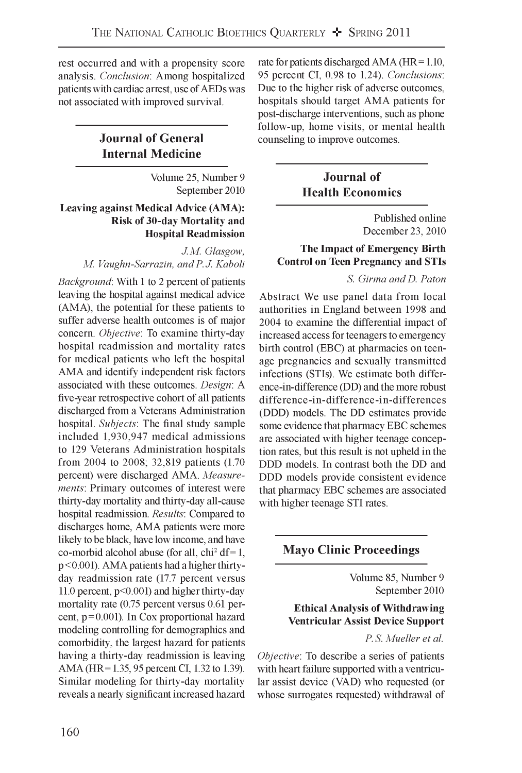rest occurred and with a propensity score analysis. *Conclusion'.* Among hospitalized patients with cardiac arrest, use of AEDs was not associated with improved survival.

# **Journal of General Internal Medicine**

Volume 25, Number 9 September 2010

# **Leaving against Medical Advice (AMA): Risk of 30-day Mortality and Hospital Readmission**

*J.M. Glasgow, M. Vaughn-Sarrazin, and P. J. Kaboli*

*Background:* With 1 to 2 percent of patients leaving the hospital against medical advice (AMA), the potential for these patients to suffer adverse health outcomes is of major concern. *Objective'.* To examine thirty-day hospital readmission and mortality rates for medical patients who left the hospital AMA and identify independent risk factors associated with these outcomes. *Design*: A five -year retrospective cohort of all patients discharged from a Veterans Administration hospital. *Subjects'* The final study sample included 1,930,947 medical admissions to 129 Veterans Administration hospitals from 2004 to 2008; 32,819 patients (1.70 percent) were discharged AMA. *Measurements:* Primary outcomes of interest were thirty-day mortality and thirty-day all-cause hospital readmission. *Results:* Compared to discharges home, AMA patients were more likely to be black, have low income, and have co-morbid alcohol abuse (for all, chi<sup>2</sup> df = 1, p < 0.001). AMA patients had a higher thirtyday readmission rate (17.7 percent versus 11.0 percent, p<0.001) and higher thirty-day mortality rate (0.75 percent versus 0.61 percent,  $p=0.001$ ). In Cox proportional hazard modeling controlling for demographics and comorbidity, the largest hazard for patients having a thirty-day readmission is leaving AMA (HR = 1.35, 95 percent CI, 1.32 to 1.39). Similar modeling for thirty-day mortality reveals a nearly significant increased hazard rate for patients discharged AMA (HR = 1.10, 95 percent CI, 0.98 to 1.24). *Conclusions:* Due to the higher risk of adverse outcomes, hospitals should target AMA patients for post-discharge interventions, such as phone follow-up, home visits, or mental health counseling to improve outcomes.

# **Journal of Health Economics**

Published online December 23, 2010

# **The Impact of Emergency Birth Control on Teen Pregnancy and STIs**

*S. Girma and D. Paton*

Abstract We use panel data from local authorities in England between 1998 and 2004 to examine the differential impact of increased access for teenagers to emergency birth control (EBC) at pharmacies on teenage pregnancies and sexually transmitted infections (STIs). We estimate both difference-in-difference (DD) and the more robust difference-in-difference-in-differences (DDD) models. The DD estimates provide some evidence that pharmacy EBC schemes are associated with higher teenage conception rates, but this result is not upheld in the DDD models. In contrast both the DD and DDD models provide consistent evidence that pharmacy EBC schemes are associated with higher teenage STI rates.

# **Mayo Clinic Proceedings**

Volume 85, Number 9 September 2010

# **Ethical Analysis of Withdrawing Ventricular Assist Device Support**

*P. S. Mueller et al.*

*Objective:* To describe a series of patients with heart failure supported with a ventricular assist device (VAD) who requested (or whose surrogates requested) withdrawal of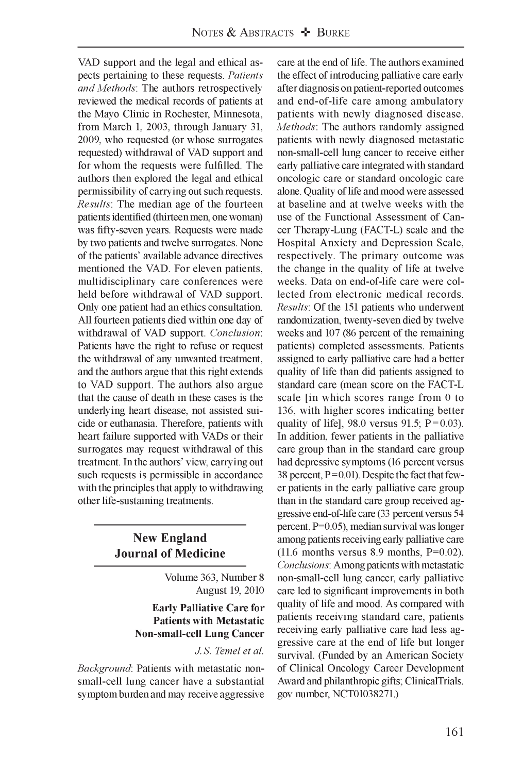VAD support and the legal and ethical aspects pertaining to these requests. *Patients and Methods*: The authors retrospectively reviewed the medical records of patients at the Mayo Clinic in Rochester, Minnesota, from March 1, 2003, through January 31, 2009, who requested (or whose surrogates requested) withdrawal of VAD support and for whom the requests were fulfilled. The authors then explored the legal and ethical permissibility of carrying out such requests. *Results:* The median age of the fourteen patients identified (thirteen men, one woman) was fifty-seven years. Requests were made by two patients and twelve surrogates. None of the patients' available advance directives mentioned the VAD. For eleven patients, multidisciplinary care conferences were held before withdrawal of VAD support. Only one patient had an ethics consultation. All fourteen patients died within one day of withdrawal of VAD support. *Conclusion:* Patients have the right to refuse or request the withdrawal of any unwanted treatment, and the authors argue that this right extends to VAD support. The authors also argue that the cause of death in these cases is the underlying heart disease, not assisted suicide or euthanasia. Therefore, patients with heart failure supported with VADs or their surrogates may request withdrawal of this treatment. In the authors' view, carrying out such requests is permissible in accordance with the principles that apply to withdrawing other life-sustaining treatments.

# **New England Journal of Medicine**

Volume 363, Number 8 August 19, 2010

### **Early Palliative Care for Patients with Metastatic Non-small-cell Lung Cancer**

### *J. S. Temel et al.*

*Background:* Patients with metastatic nonsmall-cell lung cancer have a substantial symptom burden and may receive aggressive care at the end of life. The authors examined the effect of introducing palliative care early after diagnosis on patient-reported outcomes and end-of-life care among ambulatory patients with newly diagnosed disease. *Methods*: The authors randomly assigned patients with newly diagnosed metastatic non-small-cell lung cancer to receive either early palliative care integrated with standard oncologic care or standard oncologic care alone. Quality of life and mood were assessed at baseline and at twelve weeks with the use of the Functional Assessment of Cancer Therapy-Lung (FACT-L) scale and the Hospital Anxiety and Depression Scale, respectively. The primary outcome was the change in the quality of life at twelve weeks. Data on end-of-life care were collected from electronic medical records. *Results:* Of the 151 patients who underwent randomization, twenty -seven died by twelve weeks and 107 (86 percent of the remaining patients) completed assessments. Patients assigned to early palliative care had a better quality of life than did patients assigned to standard care (mean score on the FACT-L scale [in which scores range from 0 to 136, with higher scores indicating better quality of life], 98.0 versus 91.5;  $P = 0.03$ ). In addition, fewer patients in the palliative care group than in the standard care group had depressive symptoms (16 percent versus 38 percent,  $P = 0.01$ ). Despite the fact that fewer patients in the early palliative care group than in the standard care group received aggressive end-of-life care (33 percent versus 54 percent, P=0.05), median survival was longer among patients receiving early palliative care (11.6 months versus 8.9 months,  $P=0.02$ ). *Conclusions:* Among patients with metastatic non-small-cell lung cancer, early palliative care led to significant improvements in both quality of life and mood. As compared with patients receiving standard care, patients receiving early palliative care had less aggressive care at the end of life but longer survival. (Funded by an American Society of Clinical Oncology Career Development Award and philanthropic gifts; ClinicalTrials. gov number, NCT01038271.)